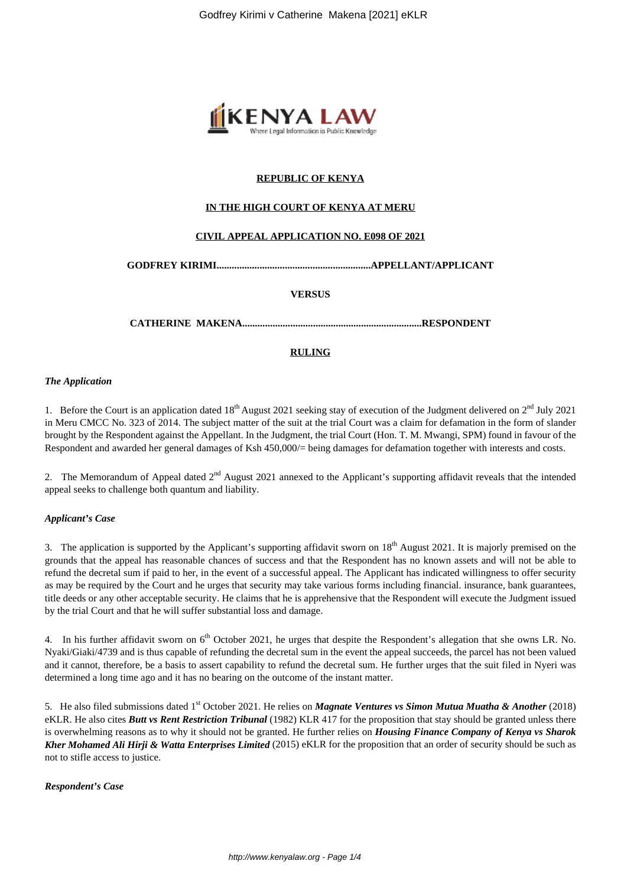

# **REPUBLIC OF KENYA**

# **IN THE HIGH COURT OF KENYA AT MERU**

# **CIVIL APPEAL APPLICATION NO. E098 OF 2021**

**GODFREY KIRIMI.............................................................APPELLANT/APPLICANT**

### **VERSUS**

**CATHERINE MAKENA.......................................................................RESPONDENT**

# **RULING**

#### *The Application*

1. Before the Court is an application dated  $18<sup>th</sup>$  August 2021 seeking stay of execution of the Judgment delivered on  $2<sup>nd</sup>$  July 2021 in Meru CMCC No. 323 of 2014. The subject matter of the suit at the trial Court was a claim for defamation in the form of slander brought by the Respondent against the Appellant. In the Judgment, the trial Court (Hon. T. M. Mwangi, SPM) found in favour of the Respondent and awarded her general damages of Ksh 450,000/= being damages for defamation together with interests and costs.

2. The Memorandum of Appeal dated  $2<sup>nd</sup>$  August 2021 annexed to the Applicant's supporting affidavit reveals that the intended appeal seeks to challenge both quantum and liability.

#### *Applicant's Case*

3. The application is supported by the Applicant's supporting affidavit sworn on  $18<sup>th</sup>$  August 2021. It is majorly premised on the grounds that the appeal has reasonable chances of success and that the Respondent has no known assets and will not be able to refund the decretal sum if paid to her, in the event of a successful appeal. The Applicant has indicated willingness to offer security as may be required by the Court and he urges that security may take various forms including financial. insurance, bank guarantees, title deeds or any other acceptable security. He claims that he is apprehensive that the Respondent will execute the Judgment issued by the trial Court and that he will suffer substantial loss and damage.

4. In his further affidavit sworn on 6<sup>th</sup> October 2021, he urges that despite the Respondent's allegation that she owns LR. No. Nyaki/Giaki/4739 and is thus capable of refunding the decretal sum in the event the appeal succeeds, the parcel has not been valued and it cannot, therefore, be a basis to assert capability to refund the decretal sum. He further urges that the suit filed in Nyeri was determined a long time ago and it has no bearing on the outcome of the instant matter.

5. He also filed submissions dated 1<sup>st</sup> October 2021. He relies on *Magnate Ventures vs Simon Mutua Muatha & Another* (2018) eKLR. He also cites *Butt vs Rent Restriction Tribunal* (1982) KLR 417 for the proposition that stay should be granted unless there is overwhelming reasons as to why it should not be granted. He further relies on *Housing Finance Company of Kenya vs Sharok Kher Mohamed Ali Hirji & Watta Enterprises Limited* (2015) eKLR for the proposition that an order of security should be such as not to stifle access to justice.

# *Respondent's Case*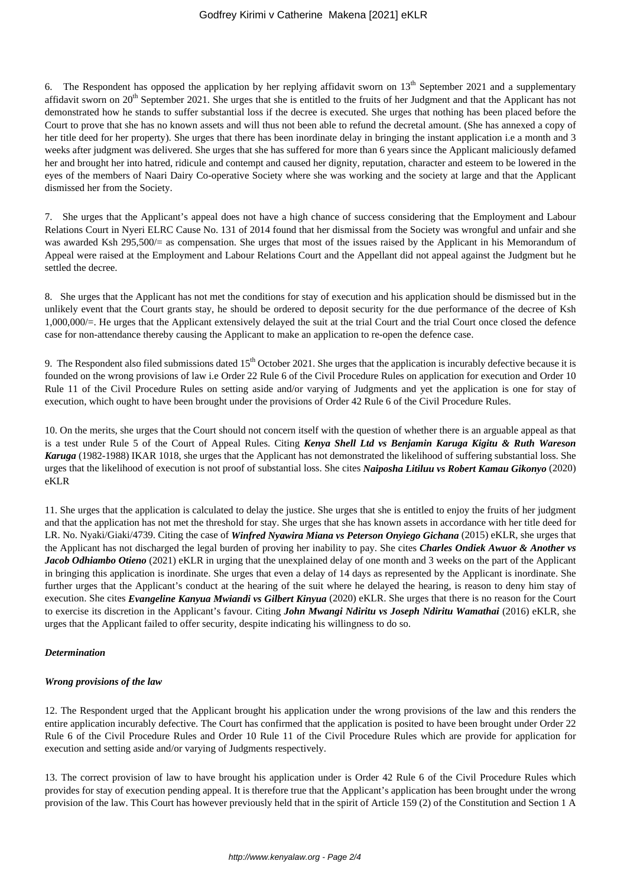6. The Respondent has opposed the application by her replying affidavit sworn on  $13<sup>th</sup>$  September 2021 and a supplementary affidavit sworn on  $20<sup>th</sup>$  September 2021. She urges that she is entitled to the fruits of her Judgment and that the Applicant has not demonstrated how he stands to suffer substantial loss if the decree is executed. She urges that nothing has been placed before the Court to prove that she has no known assets and will thus not been able to refund the decretal amount. (She has annexed a copy of her title deed for her property). She urges that there has been inordinate delay in bringing the instant application i.e a month and 3 weeks after judgment was delivered. She urges that she has suffered for more than 6 years since the Applicant maliciously defamed her and brought her into hatred, ridicule and contempt and caused her dignity, reputation, character and esteem to be lowered in the eyes of the members of Naari Dairy Co-operative Society where she was working and the society at large and that the Applicant dismissed her from the Society.

7. She urges that the Applicant's appeal does not have a high chance of success considering that the Employment and Labour Relations Court in Nyeri ELRC Cause No. 131 of 2014 found that her dismissal from the Society was wrongful and unfair and she was awarded Ksh 295,500/= as compensation. She urges that most of the issues raised by the Applicant in his Memorandum of Appeal were raised at the Employment and Labour Relations Court and the Appellant did not appeal against the Judgment but he settled the decree.

8. She urges that the Applicant has not met the conditions for stay of execution and his application should be dismissed but in the unlikely event that the Court grants stay, he should be ordered to deposit security for the due performance of the decree of Ksh 1,000,000/=. He urges that the Applicant extensively delayed the suit at the trial Court and the trial Court once closed the defence case for non-attendance thereby causing the Applicant to make an application to re-open the defence case.

9. The Respondent also filed submissions dated  $15<sup>th</sup>$  October 2021. She urges that the application is incurably defective because it is founded on the wrong provisions of law i.e Order 22 Rule 6 of the Civil Procedure Rules on application for execution and Order 10 Rule 11 of the Civil Procedure Rules on setting aside and/or varying of Judgments and yet the application is one for stay of execution, which ought to have been brought under the provisions of Order 42 Rule 6 of the Civil Procedure Rules.

10. On the merits, she urges that the Court should not concern itself with the question of whether there is an arguable appeal as that is a test under Rule 5 of the Court of Appeal Rules. Citing *Kenya Shell Ltd vs Benjamin Karuga Kigitu & Ruth Wareson Karuga* (1982-1988) IKAR 1018, she urges that the Applicant has not demonstrated the likelihood of suffering substantial loss. She urges that the likelihood of execution is not proof of substantial loss. She cites *Naiposha Litiluu vs Robert Kamau Gikonyo* (2020) eKLR

11. She urges that the application is calculated to delay the justice. She urges that she is entitled to enjoy the fruits of her judgment and that the application has not met the threshold for stay. She urges that she has known assets in accordance with her title deed for LR. No. Nyaki/Giaki/4739. Citing the case of *Winfred Nyawira Miana vs Peterson Onyiego Gichana* (2015) eKLR, she urges that the Applicant has not discharged the legal burden of proving her inability to pay. She cites *Charles Ondiek Awuor & Another vs Jacob Odhiambo Otieno* (2021) eKLR in urging that the unexplained delay of one month and 3 weeks on the part of the Applicant in bringing this application is inordinate. She urges that even a delay of 14 days as represented by the Applicant is inordinate. She further urges that the Applicant's conduct at the hearing of the suit where he delayed the hearing, is reason to deny him stay of execution. She cites *Evangeline Kanyua Mwiandi vs Gilbert Kinyua* (2020) eKLR. She urges that there is no reason for the Court to exercise its discretion in the Applicant's favour. Citing *John Mwangi Ndiritu vs Joseph Ndiritu Wamathai* (2016) eKLR, she urges that the Applicant failed to offer security, despite indicating his willingness to do so.

# *Determination*

# *Wrong provisions of the law*

12. The Respondent urged that the Applicant brought his application under the wrong provisions of the law and this renders the entire application incurably defective. The Court has confirmed that the application is posited to have been brought under Order 22 Rule 6 of the Civil Procedure Rules and Order 10 Rule 11 of the Civil Procedure Rules which are provide for application for execution and setting aside and/or varying of Judgments respectively.

13. The correct provision of law to have brought his application under is Order 42 Rule 6 of the Civil Procedure Rules which provides for stay of execution pending appeal. It is therefore true that the Applicant's application has been brought under the wrong provision of the law. This Court has however previously held that in the spirit of Article 159 (2) of the Constitution and Section 1 A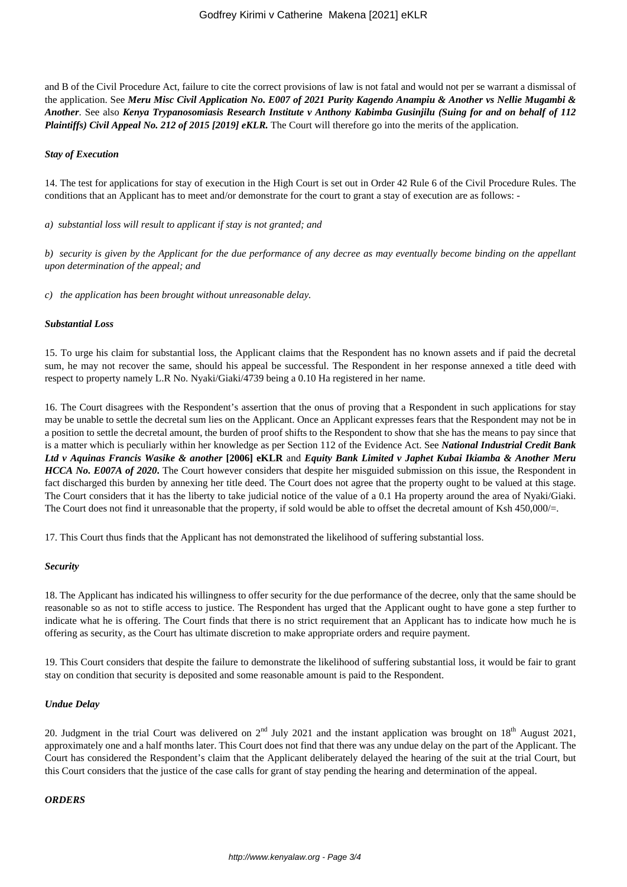and B of the Civil Procedure Act, failure to cite the correct provisions of law is not fatal and would not per se warrant a dismissal of the application. See *Meru Misc Civil Application No. E007 of 2021 Purity Kagendo Anampiu & Another vs Nellie Mugambi & Another*. See also *Kenya Trypanosomiasis Research Institute v Anthony Kabimba Gusinjilu (Suing for and on behalf of 112 Plaintiffs) Civil Appeal No. 212 of 2015 [2019] eKLR.* The Court will therefore go into the merits of the application.

#### *Stay of Execution*

14. The test for applications for stay of execution in the High Court is set out in Order 42 Rule 6 of the Civil Procedure Rules. The conditions that an Applicant has to meet and/or demonstrate for the court to grant a stay of execution are as follows: -

*a) substantial loss will result to applicant if stay is not granted; and* 

*b) security is given by the Applicant for the due performance of any decree as may eventually become binding on the appellant upon determination of the appeal; and*

*c) the application has been brought without unreasonable delay.* 

### *Substantial Loss*

15. To urge his claim for substantial loss, the Applicant claims that the Respondent has no known assets and if paid the decretal sum, he may not recover the same, should his appeal be successful. The Respondent in her response annexed a title deed with respect to property namely L.R No. Nyaki/Giaki/4739 being a 0.10 Ha registered in her name.

16. The Court disagrees with the Respondent's assertion that the onus of proving that a Respondent in such applications for stay may be unable to settle the decretal sum lies on the Applicant. Once an Applicant expresses fears that the Respondent may not be in a position to settle the decretal amount, the burden of proof shifts to the Respondent to show that she has the means to pay since that is a matter which is peculiarly within her knowledge as per Section 112 of the Evidence Act. See *National Industrial Credit Bank Ltd v Aquinas Francis Wasike & another* **[2006] eKLR** and *Equity Bank Limited v Japhet Kubai Ikiamba & Another Meru HCCA No. E007A of 2020*. The Court however considers that despite her misguided submission on this issue, the Respondent in fact discharged this burden by annexing her title deed. The Court does not agree that the property ought to be valued at this stage. The Court considers that it has the liberty to take judicial notice of the value of a 0.1 Ha property around the area of Nyaki/Giaki. The Court does not find it unreasonable that the property, if sold would be able to offset the decretal amount of Ksh 450,000/=.

17. This Court thus finds that the Applicant has not demonstrated the likelihood of suffering substantial loss.

#### *Security*

18. The Applicant has indicated his willingness to offer security for the due performance of the decree, only that the same should be reasonable so as not to stifle access to justice. The Respondent has urged that the Applicant ought to have gone a step further to indicate what he is offering. The Court finds that there is no strict requirement that an Applicant has to indicate how much he is offering as security, as the Court has ultimate discretion to make appropriate orders and require payment.

19. This Court considers that despite the failure to demonstrate the likelihood of suffering substantial loss, it would be fair to grant stay on condition that security is deposited and some reasonable amount is paid to the Respondent.

#### *Undue Delay*

20. Judgment in the trial Court was delivered on  $2<sup>nd</sup>$  July 2021 and the instant application was brought on  $18<sup>th</sup>$  August 2021, approximately one and a half months later. This Court does not find that there was any undue delay on the part of the Applicant. The Court has considered the Respondent's claim that the Applicant deliberately delayed the hearing of the suit at the trial Court, but this Court considers that the justice of the case calls for grant of stay pending the hearing and determination of the appeal.

#### *ORDERS*